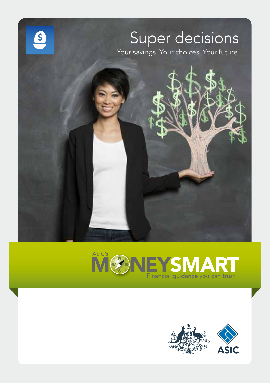



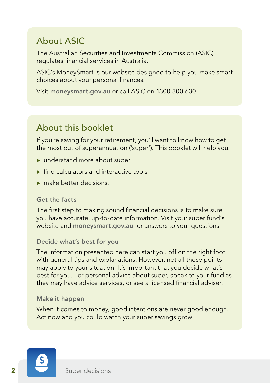## About ASIC

The Australian Securities and Investments Commission (ASIC) regulates financial services in Australia.

ASIC's MoneySmart is our website designed to help you make smart choices about your personal finances.

Visit [moneysmart.gov.au](http://www.moneysmart.gov.au) or call ASIC on 1300 300 630.

## About this booklet

If you're saving for your retirement, you'll want to know how to get the most out of superannuation ('super'). This booklet will help you:

- $\blacktriangleright$  understand more about super
- $\triangleright$  find calculators and interactive tools
- $\blacktriangleright$  make better decisions.

#### Get the facts

The first step to making sound financial decisions is to make sure you have accurate, up-to-date information. Visit your super fund's website and **[moneysmart.gov.au](http://www.moneysmart.gov.au)** for answers to your questions.

#### Decide what's best for you

The information presented here can start you off on the right foot with general tips and explanations. However, not all these points may apply to your situation. It's important that you decide what's best for you. For personal advice about super, speak to your fund as they may have advice services, or see a licensed financial adviser.

#### Make it happen

When it comes to money, good intentions are never good enough. Act now and you could watch your super savings grow.

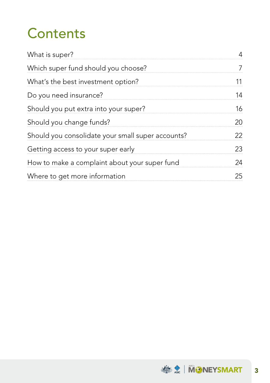# **Contents**

| What is super?                                    |    |
|---------------------------------------------------|----|
| Which super fund should you choose?               |    |
| What's the best investment option?                |    |
| Do you need insurance?                            | 14 |
| Should you put extra into your super?             | 16 |
| Should you change funds?                          | 20 |
| Should you consolidate your small super accounts? | 22 |
| Getting access to your super early                | 23 |
| How to make a complaint about your super fund     | 24 |
| Where to get more information                     | 25 |
|                                                   |    |

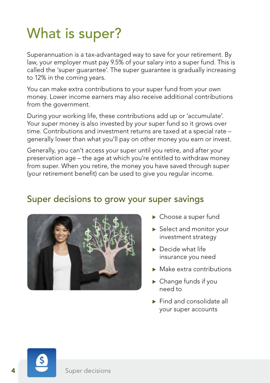# What is super?

Superannuation is a tax-advantaged way to save for your retirement. By law, your employer must pay 9.5% of your salary into a super fund. This is called the 'super guarantee'. The super guarantee is gradually increasing to 12% in the coming years.

You can make extra contributions to your super fund from your own money. Lower income earners may also receive additional contributions from the government.

During your working life, these contributions add up or 'accumulate'. Your super money is also invested by your super fund so it grows over time. Contributions and investment returns are taxed at a special rate – generally lower than what you'll pay on other money you earn or invest.

Generally, you can't access your super until you retire, and after your preservation age – the age at which you're entitled to withdraw money from super. When you retire, the money you have saved through super (your retirement benefit) can be used to give you regular income.

### Super decisions to grow your super savings



- $\blacktriangleright$  Choose a super fund
- $\blacktriangleright$  Select and monitor your investment strategy
- $\blacktriangleright$  Decide what life insurance you need
- $\blacktriangleright$  Make extra contributions
- $\blacktriangleright$  Change funds if you need to
- $\blacktriangleright$  Find and consolidate all your super accounts

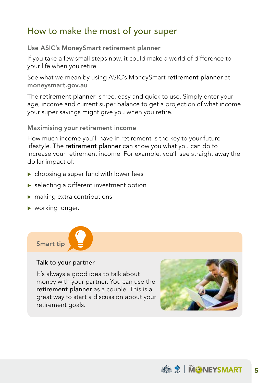## How to make the most of your super

Use ASIC's MoneySmart retirement planner

If you take a few small steps now, it could make a world of difference to your life when you retire.

See what we mean by using ASIC's MoneySmart retirement planner at [moneysmart.gov.au](http://www.moneysmart.gov.au).

The retirement planner is free, easy and quick to use. Simply enter your age, income and current super balance to get a projection of what income your super savings might give you when you retire.

Maximising your retirement income

How much income you'll have in retirement is the key to your future lifestyle. The retirement planner can show you what you can do to increase your retirement income. For example, you'll see straight away the dollar impact of:

- $\triangleright$  choosing a super fund with lower fees
- $\blacktriangleright$  selecting a different investment option
- $\blacktriangleright$  making extra contributions
- $\blacktriangleright$  working longer.



#### Talk to your partner

It's always a good idea to talk about money with your partner. You can use the retirement planner as a couple. This is a great way to start a discussion about your retirement goals.



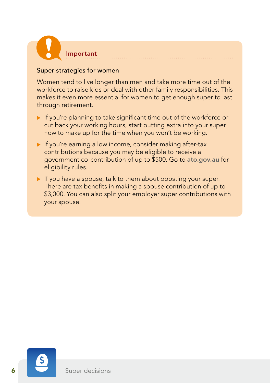

#### Super strategies for women

Women tend to live longer than men and take more time out of the workforce to raise kids or deal with other family responsibilities. This makes it even more essential for women to get enough super to last through retirement.

- $\blacktriangleright$  If you're planning to take significant time out of the workforce or cut back your working hours, start putting extra into your super now to make up for the time when you won't be working.
- $\blacktriangleright$  If you're earning a low income, consider making after-tax contributions because you may be eligible to receive a government co-contribution of up to \$500. Go to [ato.gov.au](http://www.ato.gov.au) for eligibility rules.
- $\blacktriangleright$  If you have a spouse, talk to them about boosting your super. There are tax benefits in making a spouse contribution of up to \$3,000. You can also split your employer super contributions with your spouse.

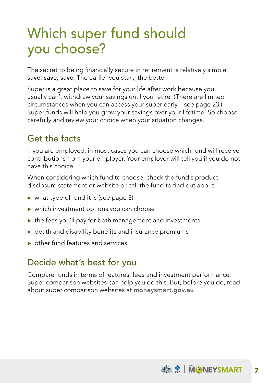## Which super fund should you choose?

The secret to being financially secure in retirement is relatively simple: save, save, save. The earlier you start, the better.

Super is a great place to save for your life after work because you usually can't withdraw your savings until you retire. (There are limited circumstances when you can access your super early – see page 23.) Super funds will help you grow your savings over your lifetime. So choose carefully and review your choice when your situation changes.

## Get the facts

If you are employed, in most cases you can choose which fund will receive contributions from your employer. Your employer will tell you if you do not have this choice.

When considering which fund to choose, check the fund's product disclosure statement or website or call the fund to find out about:

- $\triangleright$  what type of fund it is (see page 8)
- $\blacktriangleright$  which investment options you can choose
- $\triangleright$  the fees you'll pay for both management and investments
- $\triangleright$  death and disability benefits and insurance premiums
- $\triangleright$  other fund features and services.

## Decide what's best for you

Compare funds in terms of features, fees and investment performance. Super comparison websites can help you do this. But, before you do, read about super comparison websites at [moneysmart.gov.au](http://www.moneysmart.gov.au).

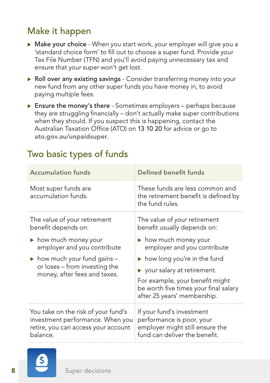## Make it happen

- $\triangleright$  Make your choice When you start work, your employer will give you a 'standard choice form' to fill out to choose a super fund. Provide your Tax File Number (TFN) and you'll avoid paying unnecessary tax and ensure that your super won't get lost.
- $\triangleright$  Roll over any existing savings Consider transferring money into your new fund from any other super funds you have money in, to avoid paying multiple fees.
- $\triangleright$  Ensure the money's there Sometimes employers perhaps because they are struggling financially – don't actually make super contributions when they should. If you suspect this is happening, contact the Australian Taxation Office (ATO) on 13 10 20 for advice or go to [ato.gov.au/unpaidsuper](http://www.ato.gov.au/unpaidsuper).

## Two basic types of funds

| <b>Accumulation funds</b>                                                                                                  | <b>Defined benefit funds</b>                                                                                               |  |  |  |  |  |  |  |
|----------------------------------------------------------------------------------------------------------------------------|----------------------------------------------------------------------------------------------------------------------------|--|--|--|--|--|--|--|
| Most super funds are<br>accumulation funds.                                                                                | These funds are less common and<br>the retirement benefit is defined by<br>the fund rules.                                 |  |  |  |  |  |  |  |
| The value of your retirement<br>benefit depends on:                                                                        | The value of your retirement<br>benefit usually depends on:                                                                |  |  |  |  |  |  |  |
| how much money your<br>employer and you contribute                                                                         | $\blacktriangleright$ how much money your<br>employer and you contribute                                                   |  |  |  |  |  |  |  |
| $\blacktriangleright$ how much your fund gains $-$                                                                         | $\triangleright$ how long you're in the fund                                                                               |  |  |  |  |  |  |  |
| or loses - from investing the<br>money, after fees and taxes.                                                              | $\blacktriangleright$ your salary at retirement.                                                                           |  |  |  |  |  |  |  |
|                                                                                                                            | For example, your benefit might<br>be worth five times your final salary<br>after 25 years' membership.                    |  |  |  |  |  |  |  |
| You take on the risk of your fund's<br>investment performance. When you<br>retire, you can access your account<br>balance. | If your fund's investment<br>performance is poor, your<br>employer might still ensure the<br>fund can deliver the benefit. |  |  |  |  |  |  |  |

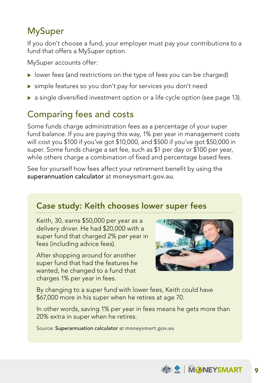## MySuper

If you don't choose a fund, your employer must pay your contributions to a fund that offers a MySuper option.

MySuper accounts offer:

- $\triangleright$  lower fees (and restrictions on the type of fees you can be charged)
- $\triangleright$  simple features so you don't pay for services you don't need
- **a** single diversified investment option or a life cycle option (see page 13).

## Comparing fees and costs

Some funds charge administration fees as a percentage of your super fund balance. If you are paying this way, 1% per year in management costs will cost you \$100 if you've got \$10,000, and \$500 if you've got \$50,000 in super. Some funds charge a set fee, such as \$1 per day or \$100 per year, while others charge a combination of fixed and percentage based fees.

See for yourself how fees affect your retirement benefit by using the superannuation calculator at [moneysmart.gov.au](http://www.moneysmart.gov.au).

## Case study: Keith chooses lower super fees

Keith, 30, earns \$50,000 per year as a delivery driver. He had \$20,000 with a super fund that charged 2% per year in fees (including advice fees).

After shopping around for another super fund that had the features he wanted, he changed to a fund that charges 1% per year in fees.



By changing to a super fund with lower fees, Keith could have \$67,000 more in his super when he retires at age 70.

In other words, saving 1% per year in fees means he gets more than 20% extra in super when he retires.

Source: Superannuation calculator at [moneysmart.gov.au](http://www.moneysmart.gov.au)

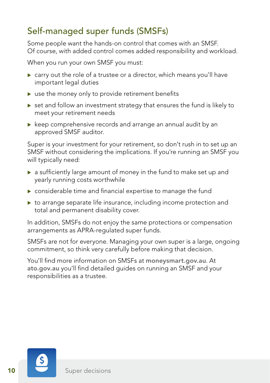## Self-managed super funds (SMSFs)

Some people want the hands-on control that comes with an SMSF. Of course, with added control comes added responsibility and workload.

When you run your own SMSF you must:

- $\triangleright$  carry out the role of a trustee or a director, which means you'll have important legal duties
- $\triangleright$  use the money only to provide retirement benefits
- $\triangleright$  set and follow an investment strategy that ensures the fund is likely to meet your retirement needs
- $\triangleright$  keep comprehensive records and arrange an annual audit by an approved SMSF auditor.

Super is your investment for your retirement, so don't rush in to set up an SMSF without considering the implications. If you're running an SMSF you will typically need:

- $\triangleright$  a sufficiently large amount of money in the fund to make set up and yearly running costs worthwhile
- $\triangleright$  considerable time and financial expertise to manage the fund
- $\triangleright$  to arrange separate life insurance, including income protection and total and permanent disability cover.

In addition, SMSFs do not enjoy the same protections or compensation arrangements as APRA-regulated super funds.

SMSFs are not for everyone. Managing your own super is a large, ongoing commitment, so think very carefully before making that decision.

You'll find more information on SMSFs at [moneysmart.gov.au](http://www.moneysmart.gov.au). At [ato.gov.au](http://www.ato.gov.au) you'll find detailed guides on running an SMSF and your responsibilities as a trustee.

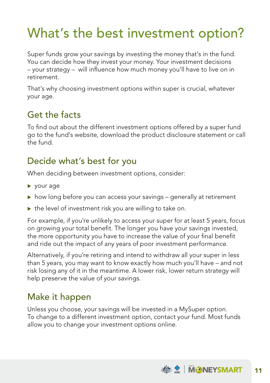## What's the best investment option?

Super funds grow your savings by investing the money that's in the fund. You can decide how they invest your money. Your investment decisions – your strategy – will influence how much money you'll have to live on in retirement.

That's why choosing investment options within super is crucial, whatever your age.

## Get the facts

To find out about the different investment options offered by a super fund go to the fund's website, download the product disclosure statement or call the fund.

## Decide what's best for you

When deciding between investment options, consider:

- $\blacktriangleright$  your age
- $\triangleright$  how long before you can access your savings generally at retirement
- $\triangleright$  the level of investment risk you are willing to take on.

For example, if you're unlikely to access your super for at least 5 years, focus on growing your total benefit. The longer you have your savings invested, the more opportunity you have to increase the value of your final benefit and ride out the impact of any years of poor investment performance.

Alternatively, if you're retiring and intend to withdraw all your super in less than 5 years, you may want to know exactly how much you'll have – and not risk losing any of it in the meantime. A lower risk, lower return strategy will help preserve the value of your savings.

## Make it happen

Unless you choose, your savings will be invested in a MySuper option. To change to a different investment option, contact your fund. Most funds allow you to change your investment options online.

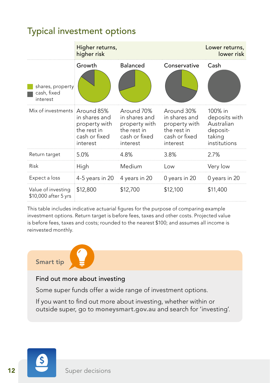## Typical investment options

|                                             | Higher returns,<br>higher risk                                             | Lower returns,<br>lower risk                                                             |                                                                                          |                                                                              |  |
|---------------------------------------------|----------------------------------------------------------------------------|------------------------------------------------------------------------------------------|------------------------------------------------------------------------------------------|------------------------------------------------------------------------------|--|
| shares, property<br>cash, fixed<br>interest | Growth                                                                     | <b>Balanced</b>                                                                          | Conservative                                                                             | Cash                                                                         |  |
| Mix of investments Around 85%               | in shares and<br>property with<br>the rest in<br>cash or fixed<br>interest | Around 70%<br>in shares and<br>property with<br>the rest in<br>cash or fixed<br>interest | Around 30%<br>in shares and<br>property with<br>the rest in<br>cash or fixed<br>interest | 100% in<br>deposits with<br>Australian<br>deposit-<br>taking<br>institutions |  |
| Return target                               | 5.0%                                                                       | 4.8%                                                                                     | 3.8%                                                                                     | 2.7%                                                                         |  |
| Risk                                        | High                                                                       | Medium                                                                                   | Low                                                                                      | Very low                                                                     |  |
| Expect a loss                               | 4-5 years in 20                                                            | 4 years in 20                                                                            | 0 years in 20                                                                            | 0 years in 20                                                                |  |
| Value of investing<br>\$10,000 after 5 yrs  | \$12,800                                                                   | \$12,700                                                                                 | \$12,100                                                                                 | \$11,400                                                                     |  |

This table includes indicative actuarial figures for the purpose of comparing example investment options. Return target is before fees, taxes and other costs. Projected value is before fees, taxes and costs; rounded to the nearest \$100; and assumes all income is reinvested monthly.

### Smart tip



#### Find out more about investing

Some super funds offer a wide range of investment options.

If you want to find out more about investing, whether within or outside super, go to [moneysmart.gov.au](http://www.moneysmart.gov.au) and search for 'investing'.

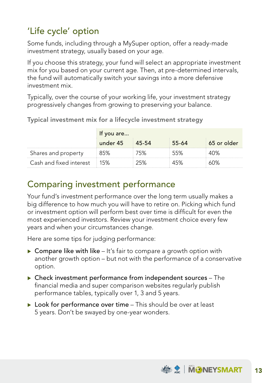## 'Life cycle' option

Some funds, including through a MySuper option, offer a ready-made investment strategy, usually based on your age.

If you choose this strategy, your fund will select an appropriate investment mix for you based on your current age. Then, at pre-determined intervals, the fund will automatically switch your savings into a more defensive investment mix.

Typically, over the course of your working life, your investment strategy progressively changes from growing to preserving your balance.

|                             | If you are |         |       |              |  |  |  |  |  |  |  |  |  |
|-----------------------------|------------|---------|-------|--------------|--|--|--|--|--|--|--|--|--|
|                             | under 45   | : 45-54 | 55-64 | ⊟65 or older |  |  |  |  |  |  |  |  |  |
| Shares and property         |            |         |       |              |  |  |  |  |  |  |  |  |  |
| Cash and fixed interest 15% |            |         |       | ነህన          |  |  |  |  |  |  |  |  |  |

Typical investment mix for a lifecycle investment strategy

## Comparing investment performance

Your fund's investment performance over the long term usually makes a big difference to how much you will have to retire on. Picking which fund or investment option will perform best over time is difficult for even the most experienced investors. Review your investment choice every few years and when your circumstances change.

Here are some tips for judging performance:

- $\triangleright$  Compare like with like It's fair to compare a growth option with another growth option – but not with the performance of a conservative option.
- $\triangleright$  Check investment performance from independent sources The financial media and super comparison websites regularly publish performance tables, typically over 1, 3 and 5 years.
- $\triangleright$  Look for performance over time This should be over at least 5 years. Don't be swayed by one-year wonders.

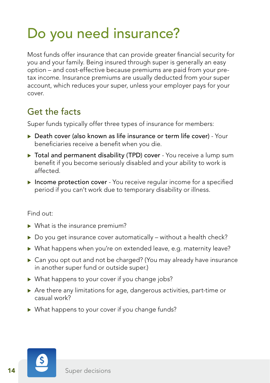# Do you need insurance?

Most funds offer insurance that can provide greater financial security for you and your family. Being insured through super is generally an easy option – and cost-effective because premiums are paid from your pretax income. Insurance premiums are usually deducted from your super account, which reduces your super, unless your employer pays for your cover.

## Get the facts

Super funds typically offer three types of insurance for members:

- $\triangleright$  Death cover (also known as life insurance or term life cover) Your beneficiaries receive a benefit when you die.
- ▶ Total and permanent disability (TPD) cover You receive a lump sum benefit if you become seriously disabled and your ability to work is affected.
- $\triangleright$  Income protection cover You receive regular income for a specified period if you can't work due to temporary disability or illness.

#### Find out:

- $\blacktriangleright$  What is the insurance premium?
- $\triangleright$  Do you get insurance cover automatically without a health check?
- ▶ What happens when you're on extended leave, e.g. maternity leave?
- $\triangleright$  Can you opt out and not be charged? (You may already have insurance in another super fund or outside super.)
- $\triangleright$  What happens to your cover if you change jobs?
- $\triangleright$  Are there any limitations for age, dangerous activities, part-time or casual work?
- $\triangleright$  What happens to your cover if you change funds?

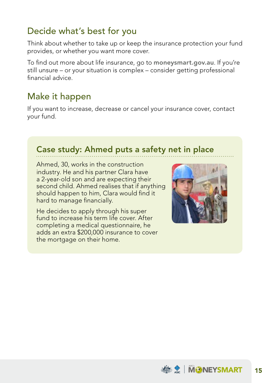## Decide what's best for you

Think about whether to take up or keep the insurance protection your fund provides, or whether you want more cover.

To find out more about life insurance, go to [moneysmart.gov.au](http://www.moneysmart.gov.au). If you're still unsure – or your situation is complex – consider getting professional financial advice.

## Make it happen

If you want to increase, decrease or cancel your insurance cover, contact your fund.

### Case study: Ahmed puts a safety net in place

Ahmed, 30, works in the construction industry. He and his partner Clara have a 2-year-old son and are expecting their second child. Ahmed realises that if anything should happen to him, Clara would find it hard to manage financially.

He decides to apply through his super fund to increase his term life cover. After completing a medical questionnaire, he adds an extra \$200,000 insurance to cover the mortgage on their home.



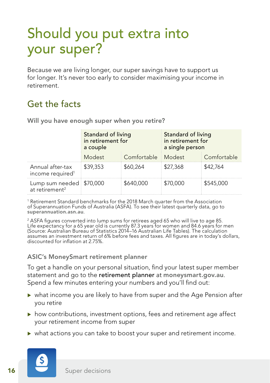## Should you put extra into your super?

Because we are living longer, our super savings have to support us for longer. It's never too early to consider maximising your income in retirement.

## Get the facts

|                                                        | Standard of living<br>in retirement for<br>a couple |                    | Standard of living<br>in retirement for<br>a single person |             |  |  |  |
|--------------------------------------------------------|-----------------------------------------------------|--------------------|------------------------------------------------------------|-------------|--|--|--|
|                                                        | Modest                                              | Comfortable Modest |                                                            | Comfortable |  |  |  |
| Annual after-tax<br>income required <sup>1</sup>       | \$39,353                                            | \$60,264           | \$27,368                                                   | \$42,764    |  |  |  |
| Lump sum needed \$70,000<br>at retirement <sup>2</sup> |                                                     | \$640,000          | \$70,000                                                   | \$545,000   |  |  |  |

Will you have enough super when you retire?

1 Retirement Standard benchmarks for the 2018 March quarter from the Association of Superannuation Funds of Australia (ASFA). To see their latest quarterly data, go to [superannuation.asn.au](http://www.superannuation.asn.au).

2 ASFA figures converted into lump sums for retirees aged 65 who will live to age 85. Life expectancy for a 65 year old is currently 87.3 years for women and 84.6 years for men (Source: Australian Bureau of Statistics 2014–16 Australian Life Tables). The calculation assumes an investment return of 6% before fees and taxes. All figures are in today's dollars, discounted for inflation at 2.75%.

#### ASIC's MoneySmart retirement planner

To get a handle on your personal situation, find your latest super member statement and go to the retirement planner at [moneysmart.gov.au](http://www.moneysmart.gov.au). Spend a few minutes entering your numbers and you'll find out:

- $\triangleright$  what income you are likely to have from super and the Age Pension after you retire
- $\triangleright$  how contributions, investment options, fees and retirement age affect your retirement income from super
- $\triangleright$  what actions you can take to boost your super and retirement income.

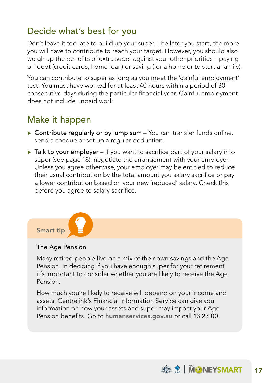## Decide what's best for you

Don't leave it too late to build up your super. The later you start, the more you will have to contribute to reach your target. However, you should also weigh up the benefits of extra super against your other priorities – paying off debt (credit cards, home loan) or saving (for a home or to start a family).

You can contribute to super as long as you meet the 'gainful employment' test. You must have worked for at least 40 hours within a period of 30 consecutive days during the particular financial year. Gainful employment does not include unpaid work.

## Make it happen

- $\triangleright$  Contribute regularly or by lump sum You can transfer funds online, send a cheque or set up a regular deduction.
- $\triangleright$  Talk to your employer If you want to sacrifice part of your salary into super (see page 18), negotiate the arrangement with your employer. Unless you agree otherwise, your employer may be entitled to reduce their usual contribution by the total amount you salary sacrifice or pay a lower contribution based on your new 'reduced' salary. Check this before you agree to salary sacrifice.



#### The Age Pension

Many retired people live on a mix of their own savings and the Age Pension. In deciding if you have enough super for your retirement it's important to consider whether you are likely to receive the Age Pension.

How much you're likely to receive will depend on your income and assets. Centrelink's Financial Information Service can give you information on how your assets and super may impact your Age Pension benefits. Go to [humanservices.gov.au](http://www.humanservices.gov.au) or call 13 23 00.

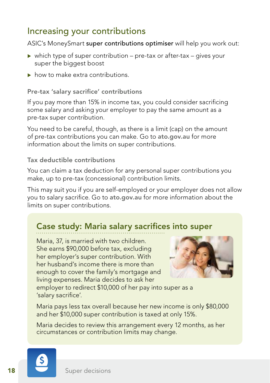## Increasing your contributions

ASIC's MoneySmart super contributions optimiser will help you work out:

- $\triangleright$  which type of super contribution pre-tax or after-tax gives your super the biggest boost
- $\triangleright$  how to make extra contributions.

Pre-tax 'salary sacrifice' contributions

If you pay more than 15% in income tax, you could consider sacrificing some salary and asking your employer to pay the same amount as a pre-tax super contribution.

You need to be careful, though, as there is a limit (cap) on the amount of pre-tax contributions you can make. Go to [ato.gov.au](http://www.ato.gov.au) for more information about the limits on super contributions.

#### Tax deductible contributions

You can claim a tax deduction for any personal super contributions you make, up to pre-tax (concessional) contribution limits.

This may suit you if you are self-employed or your employer does not allow you to salary sacrifice. Go to [ato.gov.au](http://www.ato.gov.au) for more information about the limits on super contributions.

### Case study: Maria salary sacrifices into super

Maria, 37, is married with two children. She earns \$90,000 before tax, excluding her employer's super contribution. With her husband's income there is more than enough to cover the family's mortgage and living expenses. Maria decides to ask her



employer to redirect \$10,000 of her pay into super as a 'salary sacrifice'.

Maria pays less tax overall because her new income is only \$80,000 and her \$10,000 super contribution is taxed at only 15%.

Maria decides to review this arrangement every 12 months, as her circumstances or contribution limits may change.

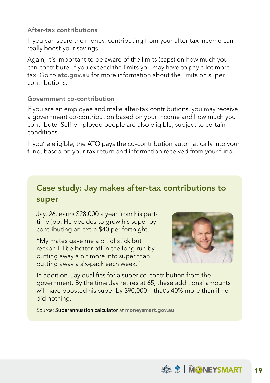#### After-tax contributions

If you can spare the money, contributing from your after-tax income can really boost your savings.

Again, it's important to be aware of the limits (caps) on how much you can contribute. If you exceed the limits you may have to pay a lot more tax. Go to [ato.gov.au](http://www.ato.gov.au) for more information about the limits on super contributions.

#### Government co-contribution

If you are an employee and make after-tax contributions, you may receive a government co-contribution based on your income and how much you contribute. Self-employed people are also eligible, subject to certain conditions.

If you're eligible, the ATO pays the co-contribution automatically into your fund, based on your tax return and information received from your fund.

## Case study: Jay makes after-tax contributions to

#### super

Jay, 26, earns \$28,000 a year from his parttime job. He decides to grow his super by contributing an extra \$40 per fortnight.

"My mates gave me a bit of stick but I reckon I'll be better off in the long run by putting away a bit more into super than putting away a six-pack each week."



In addition, Jay qualifies for a super co-contribution from the government. By the time Jay retires at 65, these additional amounts will have boosted his super by \$90,000 – that's 40% more than if he did nothing.

Source: Superannuation calculator at [moneysmart.gov.au](http://www.moneysmart.gov.au)

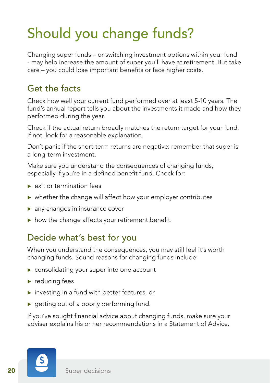# Should you change funds?

Changing super funds – or switching investment options within your fund - may help increase the amount of super you'll have at retirement. But take care – you could lose important benefits or face higher costs.

## Get the facts

Check how well your current fund performed over at least 5-10 years. The fund's annual report tells you about the investments it made and how they performed during the year.

Check if the actual return broadly matches the return target for your fund. If not, look for a reasonable explanation.

Don't panic if the short-term returns are negative: remember that super is a long-term investment.

Make sure you understand the consequences of changing funds, especially if you're in a defined benefit fund. Check for:

- $\blacktriangleright$  exit or termination fees
- $\triangleright$  whether the change will affect how your employer contributes
- $\blacktriangleright$  any changes in insurance cover
- $\triangleright$  how the change affects your retirement benefit.

## Decide what's best for you

When you understand the consequences, you may still feel it's worth changing funds. Sound reasons for changing funds include:

- $\blacktriangleright$  consolidating your super into one account
- $\blacktriangleright$  reducing fees
- $\triangleright$  investing in a fund with better features, or
- $\triangleright$  getting out of a poorly performing fund.

If you've sought financial advice about changing funds, make sure your adviser explains his or her recommendations in a Statement of Advice.

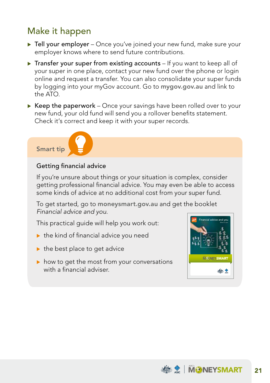## Make it happen

- $\triangleright$  Tell your employer Once you've joined your new fund, make sure your employer knows where to send future contributions.
- $\triangleright$  Transfer your super from existing accounts If you want to keep all of your super in one place, contact your new fund over the phone or login online and request a transfer. You can also consolidate your super funds by logging into your myGov account. Go to [mygov.gov.au](http://www.mygov.gov.au) and link to the ATO.
- $\triangleright$  Keep the paperwork Once your savings have been rolled over to your new fund, your old fund will send you a rollover benefits statement. Check it's correct and keep it with your super records.

#### Smart tip



#### Getting financial advice

If you're unsure about things or your situation is complex, consider getting professional financial advice. You may even be able to access some kinds of advice at no additional cost from your super fund.

To get started, go to [moneysmart.gov.au](http://www.moneysmart.gov.au) and get the booklet *Financial advice and you*.

This practical guide will help you work out:

- $\blacktriangleright$  the kind of financial advice you need
- $\blacktriangleright$  the best place to get advice
- $\triangleright$  how to get the most from your conversations with a financial adviser.



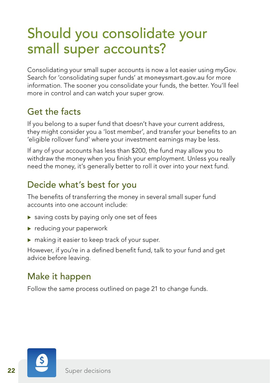## Should you consolidate your small super accounts?

Consolidating your small super accounts is now a lot easier using myGov. Search for 'consolidating super funds' at [moneysmart.gov.au](http://www.moneysmart.gov.au) for more information. The sooner you consolidate your funds, the better. You'll feel more in control and can watch your super grow.

## Get the facts

If you belong to a super fund that doesn't have your current address, they might consider you a 'lost member', and transfer your benefits to an 'eligible rollover fund' where your investment earnings may be less.

If any of your accounts has less than \$200, the fund may allow you to withdraw the money when you finish your employment. Unless you really need the money, it's generally better to roll it over into your next fund.

## Decide what's best for you

The benefits of transferring the money in several small super fund accounts into one account include:

- $\triangleright$  saving costs by paying only one set of fees
- $\blacktriangleright$  reducing your paperwork
- $\triangleright$  making it easier to keep track of your super.

However, if you're in a defined benefit fund, talk to your fund and get advice before leaving.

## Make it happen

Follow the same process outlined on page 21 to change funds.

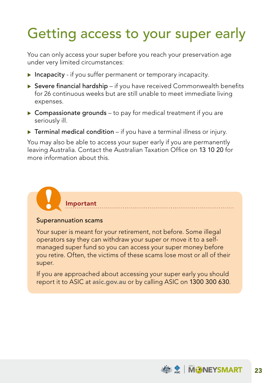# Getting access to your super early

You can only access your super before you reach your preservation age under very limited circumstances:

- $\triangleright$  Incapacity if you suffer permanent or temporary incapacity.
- $\triangleright$  Severe financial hardship if you have received Commonwealth benefits for 26 continuous weeks but are still unable to meet immediate living expenses.
- $\triangleright$  Compassionate grounds to pay for medical treatment if you are seriously ill.
- $\triangleright$  Terminal medical condition if you have a terminal illness or injury.

You may also be able to access your super early if you are permanently leaving Australia. Contact the Australian Taxation Office on 13 10 20 for more information about this.

## Superannuation scams

Important

Your super is meant for your retirement, not before. Some illegal operators say they can withdraw your super or move it to a selfmanaged super fund so you can access your super money before you retire. Often, the victims of these scams lose most or all of their super.

If you are approached about accessing your super early you should report it to ASIC at [asic.gov.au](http://www.asic.gov.au) or by calling ASIC on 1300 300 630.

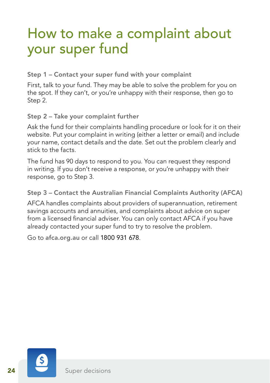## How to make a complaint about your super fund

Step 1 – Contact your super fund with your complaint

First, talk to your fund. They may be able to solve the problem for you on the spot. If they can't, or you're unhappy with their response, then go to Step 2.

Step 2 – Take your complaint further

Ask the fund for their complaints handling procedure or look for it on their website. Put your complaint in writing (either a letter or email) and include your name, contact details and the date. Set out the problem clearly and stick to the facts.

The fund has 90 days to respond to you. You can request they respond in writing. If you don't receive a response, or you're unhappy with their response, go to Step 3.

Step 3 – Contact the Australian Financial Complaints Authority (AFCA)

AFCA handles complaints about providers of superannuation, retirement savings accounts and annuities, and complaints about advice on super from a licensed financial adviser. You can only contact AFCA if you have already contacted your super fund to try to resolve the problem.

Go to [afca.org.au](http://www.afca.org.au) or call 1800 931 678.

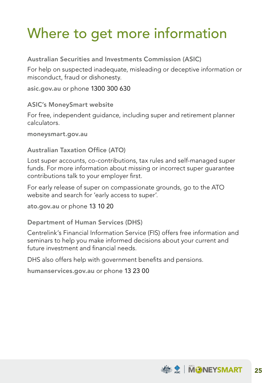# Where to get more information

Australian Securities and Investments Commission (ASIC)

For help on suspected inadequate, misleading or deceptive information or misconduct, fraud or dishonesty.

[asic.gov.au](http://www.asic.gov.au) or phone 1300 300 630

ASIC's MoneySmart website

For free, independent guidance, including super and retirement planner calculators.

[moneysmart.gov.au](http://www.moneysmart.gov.au)

#### Australian Taxation Office (ATO)

Lost super accounts, co-contributions, tax rules and self-managed super funds. For more information about missing or incorrect super guarantee contributions talk to your employer first.

For early release of super on compassionate grounds, go to the ATO website and search for 'early access to super'.

[ato.gov.au](http://www.ato.gov.au) or phone 13 10 20

Department of Human Services (DHS)

Centrelink's Financial Information Service (FIS) offers free information and seminars to help you make informed decisions about your current and future investment and financial needs.

DHS also offers help with government benefits and pensions.

[humanservices.gov.au](http://www.humanservices.gov.au) or phone 13 23 00

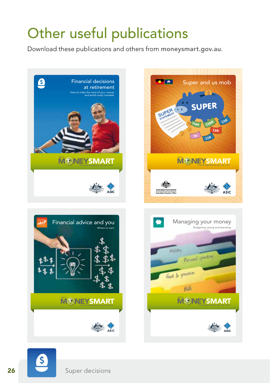# Other useful publications

Download these publications and others from [moneysmart.gov.au](http://www.moneysmart.gov.au).









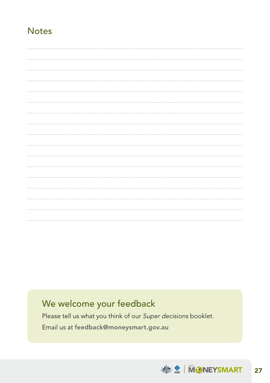### **Notes**

## We welcome your feedback

Please tell us what you think of our *Super decisions* booklet. Email us at [feedback@moneysmart.gov.au](mailto:feedback%40moneysmart.gov.au?subject=)